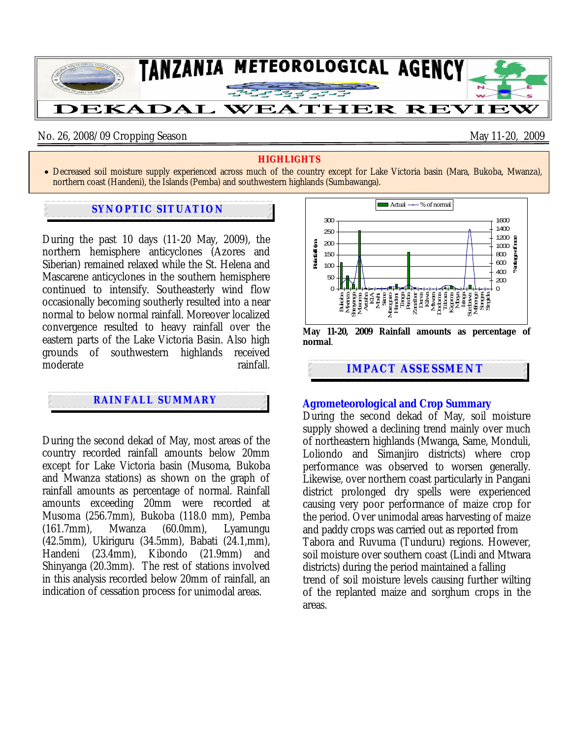

## No. 26, 2008/09 Cropping Season May 11-20, 2009

### **HIGHLIGHTS**

• Decreased soil moisture supply experienced across much of the country except for Lake Victoria basin (Mara, Bukoba, Mwanza), northern coast (Handeni), the Islands (Pemba) and southwestern highlands (Sumbawanga).

## **SYNOPTIC SITUATION**

During the past 10 days (11-20 May, 2009), the northern hemisphere anticyclones (Azores and Siberian) remained relaxed while the St. Helena and Mascarene anticyclones in the southern hemisphere continued to intensify. Southeasterly wind flow occasionally becoming southerly resulted into a near normal to below normal rainfall. Moreover localized convergence resulted to heavy rainfall over the eastern parts of the Lake Victoria Basin. Also high grounds of southwestern highlands received moderate rainfall.

# **RAINFALL SUMMARY**

During the second dekad of May, most areas of the country recorded rainfall amounts below 20mm except for Lake Victoria basin (Musoma, Bukoba and Mwanza stations) as shown on the graph of rainfall amounts as percentage of normal. Rainfall amounts exceeding 20mm were recorded at Musoma (256.7mm), Bukoba (118.0 mm), Pemba (161.7mm), Mwanza (60.0mm), Lyamungu (42.5mm), Ukiriguru (34.5mm), Babati (24.1,mm), Handeni (23.4mm), Kibondo (21.9mm) and Shinyanga (20.3mm). The rest of stations involved in this analysis recorded below 20mm of rainfall, an indication of cessation process for unimodal areas.



# **Agrometeorological and Crop Summary**

During the second dekad of May, soil moisture supply showed a declining trend mainly over much of northeastern highlands (Mwanga, Same, Monduli, Loliondo and Simanjiro districts) where crop performance was observed to worsen generally. Likewise, over northern coast particularly in Pangani district prolonged dry spells were experienced causing very poor performance of maize crop for the period. Over unimodal areas harvesting of maize and paddy crops was carried out as reported from Tabora and Ruvuma (Tunduru) regions. However, soil moisture over southern coast (Lindi and Mtwara districts) during the period maintained a falling trend of soil moisture levels causing further wilting of the replanted maize and sorghum crops in the areas.